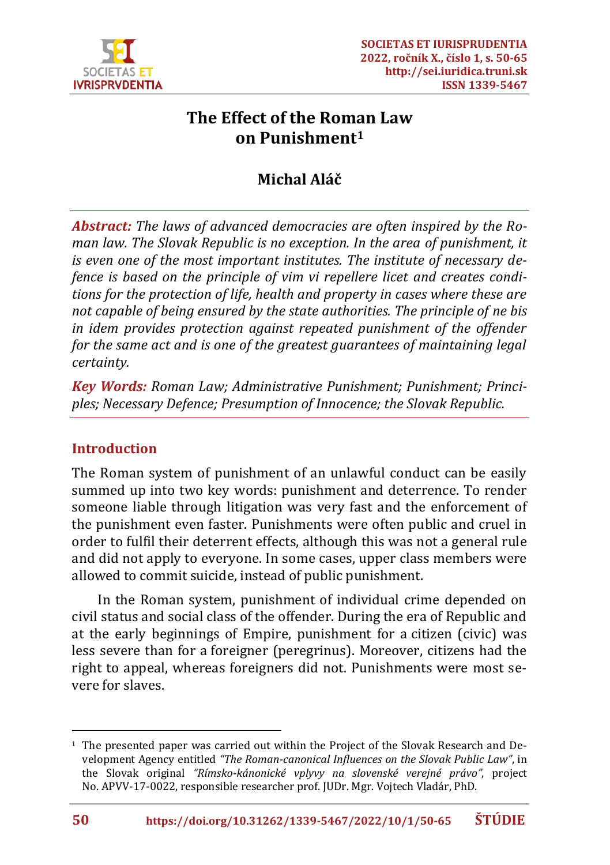

# **The Effect of the Roman Law on Punishment<sup>1</sup>**

# **Michal Aláč**

*Abstract: The laws of advanced democracies are often inspired by the Roman law. The Slovak Republic is no exception. In the area of punishment, it is even one of the most important institutes. The institute of necessary defence is based on the principle of vim vi repellere licet and creates conditions for the protection of life, health and property in cases where these are not capable of being ensured by the state authorities. The principle of ne bis in idem provides protection against repeated punishment of the offender for the same act and is one of the greatest guarantees of maintaining legal certainty.*

*Key Words: Roman Law; Administrative Punishment; Punishment; Principles; Necessary Defence; Presumption of Innocence; the Slovak Republic.*

#### **Introduction**

The Roman system of punishment of an unlawful conduct can be easily summed up into two key words: punishment and deterrence. To render someone liable through litigation was very fast and the enforcement of the punishment even faster. Punishments were often public and cruel in order to fulfil their deterrent effects, although this was not a general rule and did not apply to everyone. In some cases, upper class members were allowed to commit suicide, instead of public punishment.

In the Roman system, punishment of individual crime depended on civil status and social class of the offender. During the era of Republic and at the early beginnings of Empire, punishment for a citizen (civic) was less severe than for a foreigner (peregrinus). Moreover, citizens had the right to appeal, whereas foreigners did not. Punishments were most severe for slaves.

<sup>1</sup> The presented paper was carried out within the Project of the Slovak Research and Development Agency entitled *"The Roman-canonical Influences on the Slovak Public Law"*, in the Slovak original *"Rímsko-kánonické vplyvy na slovenské verejné právo"*, project No. APVV-17-0022, responsible researcher prof. JUDr. Mgr. Vojtech Vladár, PhD.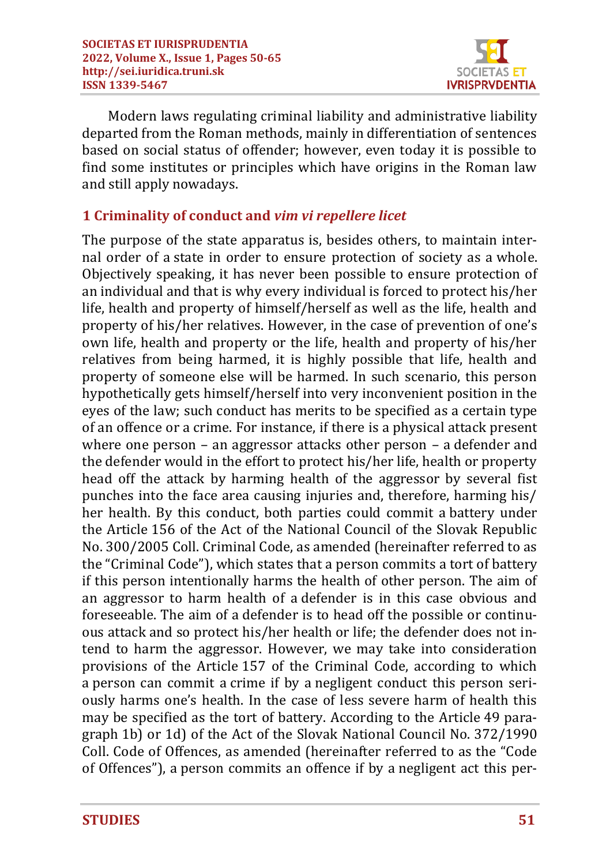

Modern laws regulating criminal liability and administrative liability departed from the Roman methods, mainly in differentiation of sentences based on social status of offender; however, even today it is possible to find some institutes or principles which have origins in the Roman law and still apply nowadays.

# **1 Criminality of conduct and** *vim vi repellere licet*

The purpose of the state apparatus is, besides others, to maintain internal order of a state in order to ensure protection of society as a whole. Objectively speaking, it has never been possible to ensure protection of an individual and that is why every individual is forced to protect his/her life, health and property of himself/herself as well as the life, health and property of his/her relatives. However, in the case of prevention of one's own life, health and property or the life, health and property of his/her relatives from being harmed, it is highly possible that life, health and property of someone else will be harmed. In such scenario, this person hypothetically gets himself/herself into very inconvenient position in the eyes of the law; such conduct has merits to be specified as a certain type of an offence or a crime. For instance, if there is a physical attack present where one person – an aggressor attacks other person – a defender and the defender would in the effort to protect his/her life, health or property head off the attack by harming health of the aggressor by several fist punches into the face area causing injuries and, therefore, harming his/ her health. By this conduct, both parties could commit a battery under the Article 156 of the Act of the National Council of the Slovak Republic No. 300/2005 Coll. Criminal Code, as amended (hereinafter referred to as the "Criminal Code"), which states that a person commits a tort of battery if this person intentionally harms the health of other person. The aim of an aggressor to harm health of a defender is in this case obvious and foreseeable. The aim of a defender is to head off the possible or continuous attack and so protect his/her health or life; the defender does not intend to harm the aggressor. However, we may take into consideration provisions of the Article 157 of the Criminal Code, according to which a person can commit a crime if by a negligent conduct this person seriously harms one's health. In the case of less severe harm of health this may be specified as the tort of battery. According to the Article 49 paragraph 1b) or 1d) of the Act of the Slovak National Council No. 372/1990 Coll. Code of Offences, as amended (hereinafter referred to as the "Code of Offences"), a person commits an offence if by a negligent act this per-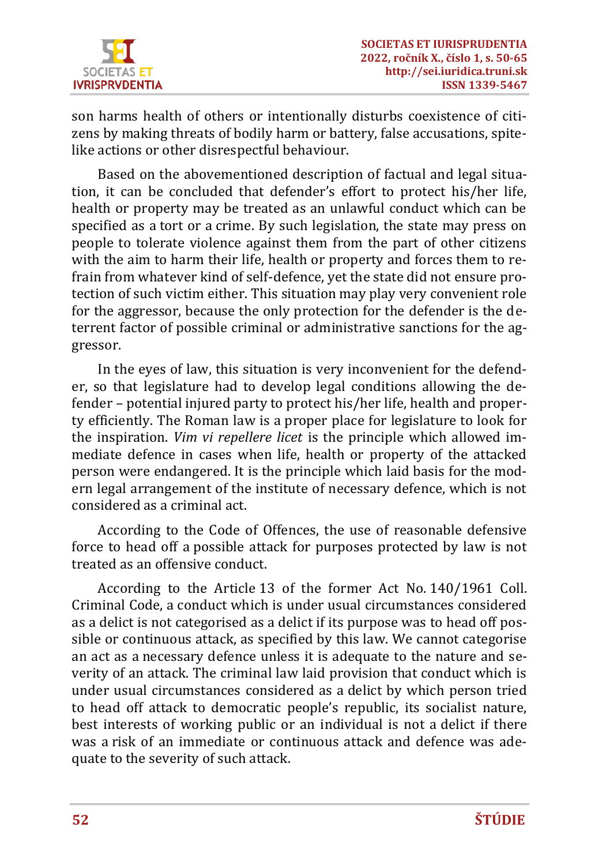

son harms health of others or intentionally disturbs coexistence of citizens by making threats of bodily harm or battery, false accusations, spitelike actions or other disrespectful behaviour.

Based on the abovementioned description of factual and legal situation, it can be concluded that defender's effort to protect his/her life, health or property may be treated as an unlawful conduct which can be specified as a tort or a crime. By such legislation, the state may press on people to tolerate violence against them from the part of other citizens with the aim to harm their life, health or property and forces them to refrain from whatever kind of self-defence, yet the state did not ensure protection of such victim either. This situation may play very convenient role for the aggressor, because the only protection for the defender is the deterrent factor of possible criminal or administrative sanctions for the aggressor.

In the eyes of law, this situation is very inconvenient for the defender, so that legislature had to develop legal conditions allowing the defender – potential injured party to protect his/her life, health and property efficiently. The Roman law is a proper place for legislature to look for the inspiration. *Vim vi repellere licet* is the principle which allowed immediate defence in cases when life, health or property of the attacked person were endangered. It is the principle which laid basis for the modern legal arrangement of the institute of necessary defence, which is not considered as a criminal act.

According to the Code of Offences, the use of reasonable defensive force to head off a possible attack for purposes protected by law is not treated as an offensive conduct.

According to the Article 13 of the former Act No. 140/1961 Coll. Criminal Code, a conduct which is under usual circumstances considered as a delict is not categorised as a delict if its purpose was to head off possible or continuous attack, as specified by this law. We cannot categorise an act as a necessary defence unless it is adequate to the nature and severity of an attack. The criminal law laid provision that conduct which is under usual circumstances considered as a delict by which person tried to head off attack to democratic people's republic, its socialist nature, best interests of working public or an individual is not a delict if there was a risk of an immediate or continuous attack and defence was adequate to the severity of such attack.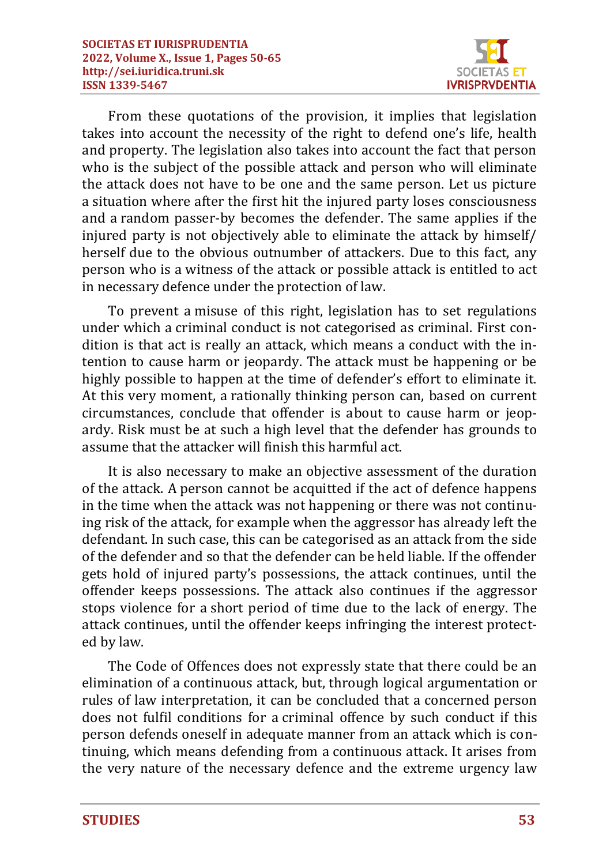

From these quotations of the provision, it implies that legislation takes into account the necessity of the right to defend one's life, health and property. The legislation also takes into account the fact that person who is the subject of the possible attack and person who will eliminate the attack does not have to be one and the same person. Let us picture a situation where after the first hit the injured party loses consciousness and a random passer-by becomes the defender. The same applies if the injured party is not objectively able to eliminate the attack by himself/ herself due to the obvious outnumber of attackers. Due to this fact, any person who is a witness of the attack or possible attack is entitled to act in necessary defence under the protection of law.

To prevent a misuse of this right, legislation has to set regulations under which a criminal conduct is not categorised as criminal. First condition is that act is really an attack, which means a conduct with the intention to cause harm or jeopardy. The attack must be happening or be highly possible to happen at the time of defender's effort to eliminate it. At this very moment, a rationally thinking person can, based on current circumstances, conclude that offender is about to cause harm or jeopardy. Risk must be at such a high level that the defender has grounds to assume that the attacker will finish this harmful act.

It is also necessary to make an objective assessment of the duration of the attack. A person cannot be acquitted if the act of defence happens in the time when the attack was not happening or there was not continuing risk of the attack, for example when the aggressor has already left the defendant. In such case, this can be categorised as an attack from the side of the defender and so that the defender can be held liable. If the offender gets hold of injured party's possessions, the attack continues, until the offender keeps possessions. The attack also continues if the aggressor stops violence for a short period of time due to the lack of energy. The attack continues, until the offender keeps infringing the interest protected by law.

The Code of Offences does not expressly state that there could be an elimination of a continuous attack, but, through logical argumentation or rules of law interpretation, it can be concluded that a concerned person does not fulfil conditions for a criminal offence by such conduct if this person defends oneself in adequate manner from an attack which is continuing, which means defending from a continuous attack. It arises from the very nature of the necessary defence and the extreme urgency law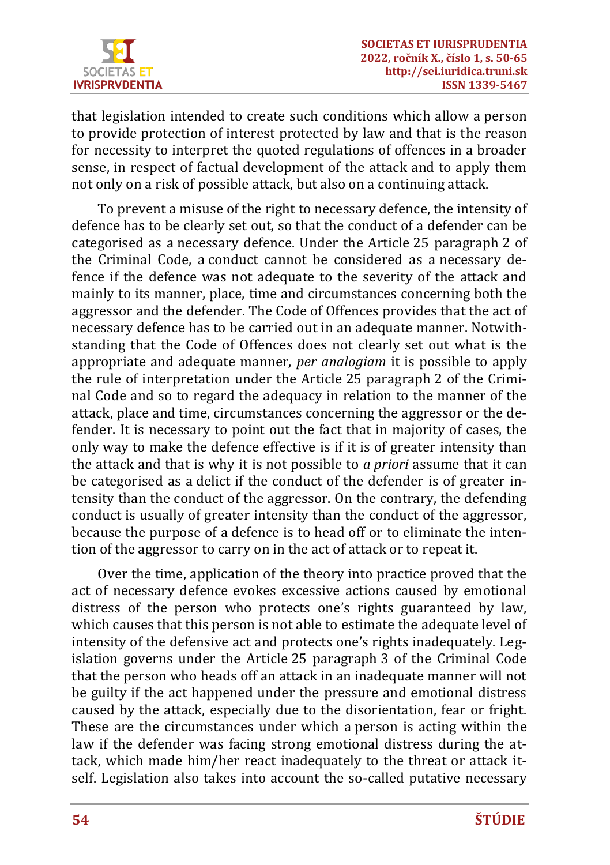

that legislation intended to create such conditions which allow a person to provide protection of interest protected by law and that is the reason for necessity to interpret the quoted regulations of offences in a broader sense, in respect of factual development of the attack and to apply them not only on a risk of possible attack, but also on a continuing attack.

To prevent a misuse of the right to necessary defence, the intensity of defence has to be clearly set out, so that the conduct of a defender can be categorised as a necessary defence. Under the Article 25 paragraph 2 of the Criminal Code, a conduct cannot be considered as a necessary defence if the defence was not adequate to the severity of the attack and mainly to its manner, place, time and circumstances concerning both the aggressor and the defender. The Code of Offences provides that the act of necessary defence has to be carried out in an adequate manner. Notwithstanding that the Code of Offences does not clearly set out what is the appropriate and adequate manner, *per analogiam* it is possible to apply the rule of interpretation under the Article 25 paragraph 2 of the Criminal Code and so to regard the adequacy in relation to the manner of the attack, place and time, circumstances concerning the aggressor or the defender. It is necessary to point out the fact that in majority of cases, the only way to make the defence effective is if it is of greater intensity than the attack and that is why it is not possible to *a priori* assume that it can be categorised as a delict if the conduct of the defender is of greater intensity than the conduct of the aggressor. On the contrary, the defending conduct is usually of greater intensity than the conduct of the aggressor, because the purpose of a defence is to head off or to eliminate the intention of the aggressor to carry on in the act of attack or to repeat it.

Over the time, application of the theory into practice proved that the act of necessary defence evokes excessive actions caused by emotional distress of the person who protects one's rights guaranteed by law, which causes that this person is not able to estimate the adequate level of intensity of the defensive act and protects one's rights inadequately. Legislation governs under the Article 25 paragraph 3 of the Criminal Code that the person who heads off an attack in an inadequate manner will not be guilty if the act happened under the pressure and emotional distress caused by the attack, especially due to the disorientation, fear or fright. These are the circumstances under which a person is acting within the law if the defender was facing strong emotional distress during the attack, which made him/her react inadequately to the threat or attack itself. Legislation also takes into account the so-called putative necessary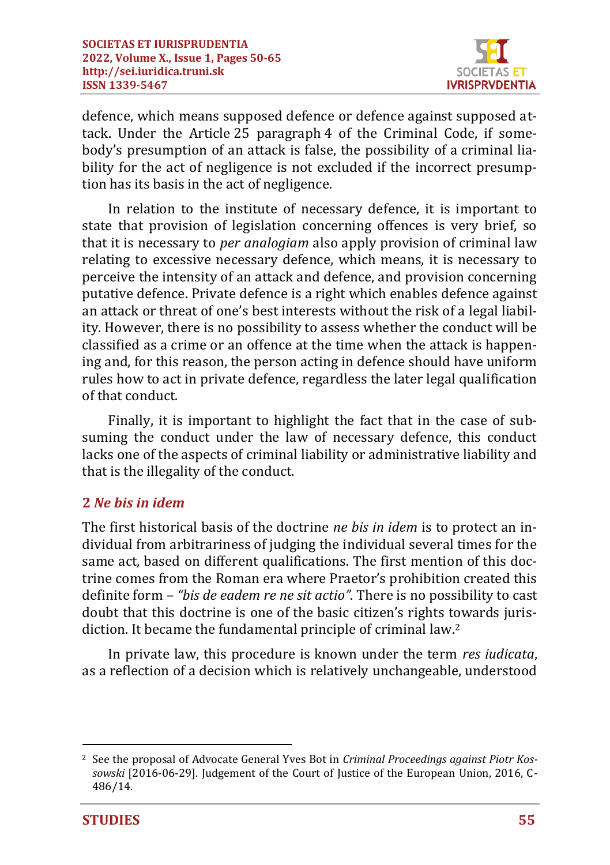

defence, which means supposed defence or defence against supposed attack. Under the Article 25 paragraph 4 of the Criminal Code, if somebody's presumption of an attack is false, the possibility of a criminal liability for the act of negligence is not excluded if the incorrect presumption has its basis in the act of negligence.

In relation to the institute of necessary defence, it is important to state that provision of legislation concerning offences is very brief, so that it is necessary to *per analogiam* also apply provision of criminal law relating to excessive necessary defence, which means, it is necessary to perceive the intensity of an attack and defence, and provision concerning putative defence. Private defence is a right which enables defence against an attack or threat of one's best interests without the risk of a legal liability. However, there is no possibility to assess whether the conduct will be classified as a crime or an offence at the time when the attack is happening and, for this reason, the person acting in defence should have uniform rules how to act in private defence, regardless the later legal qualification of that conduct.

Finally, it is important to highlight the fact that in the case of subsuming the conduct under the law of necessary defence, this conduct lacks one of the aspects of criminal liability or administrative liability and that is the illegality of the conduct.

### **2** *Ne bis in idem*

The first historical basis of the doctrine *ne bis in idem* is to protect an individual from arbitrariness of judging the individual several times for the same act, based on different qualifications. The first mention of this doctrine comes from the Roman era where Praetor's prohibition created this definite form – *"bis de eadem re ne sit actio"*. There is no possibility to cast doubt that this doctrine is one of the basic citizen's rights towards jurisdiction. It became the fundamental principle of criminal law.<sup>2</sup>

In private law, this procedure is known under the term *res iudicata*, as a reflection of a decision which is relatively unchangeable, understood

<sup>2</sup> See the proposal of Advocate General Yves Bot in *Criminal Proceedings against Piotr Kossowski* [2016-06-29]. Judgement of the Court of Justice of the European Union, 2016, C-486/14.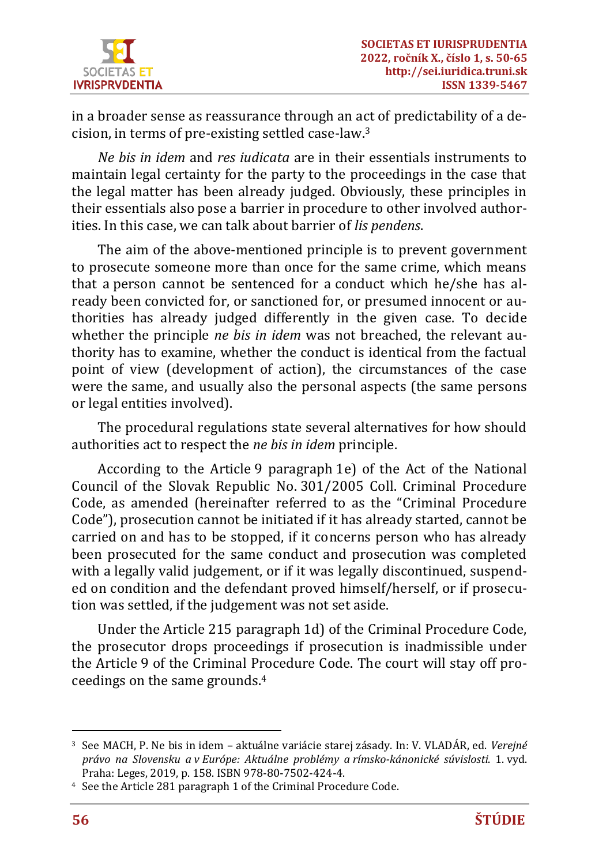

in a broader sense as reassurance through an act of predictability of a decision, in terms of pre-existing settled case-law.<sup>3</sup>

*Ne bis in idem* and *res iudicata* are in their essentials instruments to maintain legal certainty for the party to the proceedings in the case that the legal matter has been already judged. Obviously, these principles in their essentials also pose a barrier in procedure to other involved authorities. In this case, we can talk about barrier of *lis pendens*.

The aim of the above-mentioned principle is to prevent government to prosecute someone more than once for the same crime, which means that a person cannot be sentenced for a conduct which he/she has already been convicted for, or sanctioned for, or presumed innocent or authorities has already judged differently in the given case. To decide whether the principle *ne bis in idem* was not breached, the relevant authority has to examine, whether the conduct is identical from the factual point of view (development of action), the circumstances of the case were the same, and usually also the personal aspects (the same persons or legal entities involved).

The procedural regulations state several alternatives for how should authorities act to respect the *ne bis in idem* principle.

According to the Article 9 paragraph 1e) of the Act of the National Council of the Slovak Republic No. 301/2005 Coll. Criminal Procedure Code, as amended (hereinafter referred to as the "Criminal Procedure Code"), prosecution cannot be initiated if it has already started, cannot be carried on and has to be stopped, if it concerns person who has already been prosecuted for the same conduct and prosecution was completed with a legally valid judgement, or if it was legally discontinued, suspended on condition and the defendant proved himself/herself, or if prosecution was settled, if the judgement was not set aside.

Under the Article 215 paragraph 1d) of the Criminal Procedure Code, the prosecutor drops proceedings if prosecution is inadmissible under the Article 9 of the Criminal Procedure Code. The court will stay off proceedings on the same grounds.<sup>4</sup>

<sup>3</sup> See MACH, P. Ne bis in idem – aktuálne variácie starej zásady. In: V. VLADÁR, ed. *Verejné právo na Slovensku a v Európe: Aktuálne problémy a rímsko-kánonické súvislosti*. 1. vyd. Praha: Leges, 2019, p. 158. ISBN 978-80-7502-424-4.

<sup>4</sup> See the Article 281 paragraph 1 of the Criminal Procedure Code.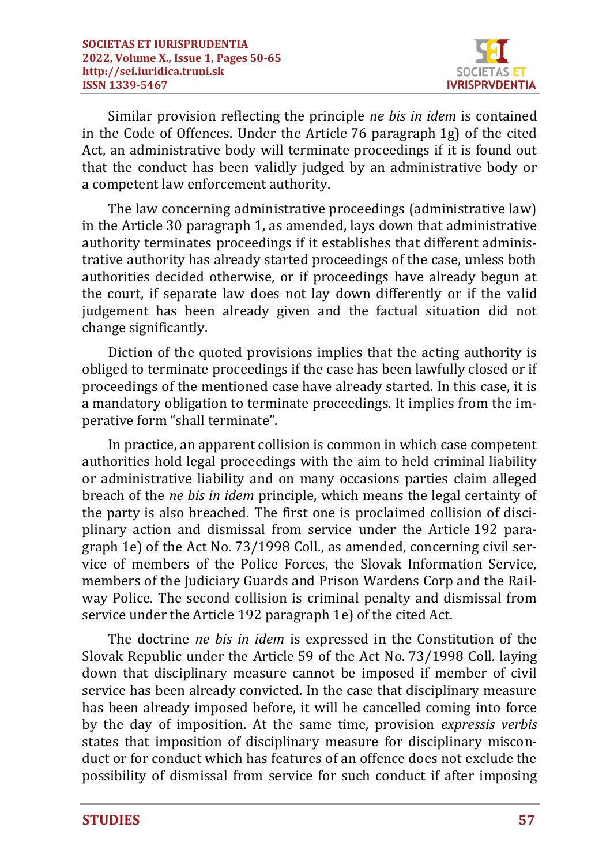

Similar provision reflecting the principle *ne bis in idem* is contained in the Code of Offences. Under the Article 76 paragraph 1g) of the cited Act, an administrative body will terminate proceedings if it is found out that the conduct has been validly judged by an administrative body or a competent law enforcement authority.

The law concerning administrative proceedings (administrative law) in the Article 30 paragraph 1, as amended, lays down that administrative authority terminates proceedings if it establishes that different administrative authority has already started proceedings of the case, unless both authorities decided otherwise, or if proceedings have already begun at the court, if separate law does not lay down differently or if the valid judgement has been already given and the factual situation did not change significantly.

Diction of the quoted provisions implies that the acting authority is obliged to terminate proceedings if the case has been lawfully closed or if proceedings of the mentioned case have already started. In this case, it is a mandatory obligation to terminate proceedings. It implies from the imperative form "shall terminate".

In practice, an apparent collision is common in which case competent authorities hold legal proceedings with the aim to held criminal liability or administrative liability and on many occasions parties claim alleged breach of the *ne bis in idem* principle, which means the legal certainty of the party is also breached. The first one is proclaimed collision of disciplinary action and dismissal from service under the Article 192 paragraph 1e) of the Act No. 73/1998 Coll., as amended, concerning civil service of members of the Police Forces, the Slovak Information Service, members of the Judiciary Guards and Prison Wardens Corp and the Railway Police. The second collision is criminal penalty and dismissal from service under the Article 192 paragraph 1e) of the cited Act.

The doctrine *ne bis in idem* is expressed in the Constitution of the Slovak Republic under the Article 59 of the Act No. 73/1998 Coll. laying down that disciplinary measure cannot be imposed if member of civil service has been already convicted. In the case that disciplinary measure has been already imposed before, it will be cancelled coming into force by the day of imposition. At the same time, provision *expressis verbis* states that imposition of disciplinary measure for disciplinary misconduct or for conduct which has features of an offence does not exclude the possibility of dismissal from service for such conduct if after imposing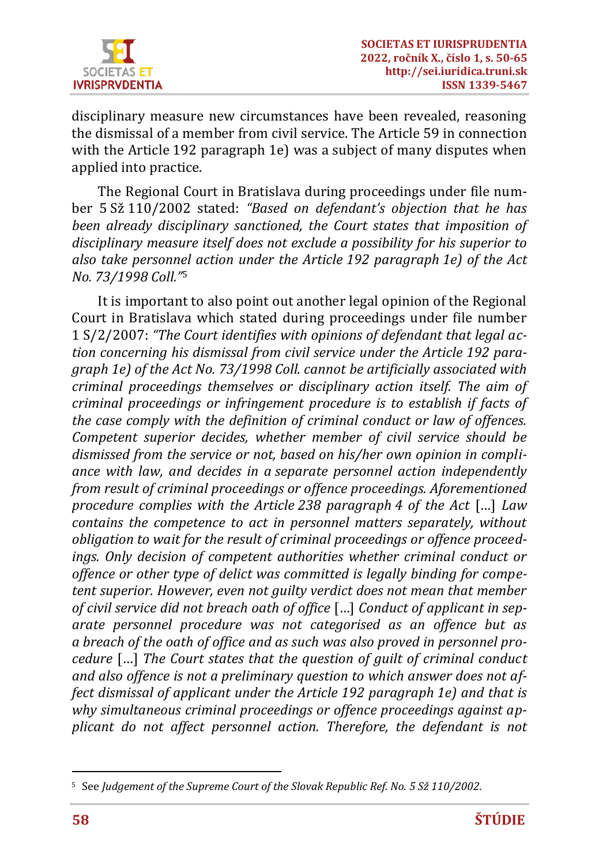

disciplinary measure new circumstances have been revealed, reasoning the dismissal of a member from civil service. The Article 59 in connection with the Article 192 paragraph 1e) was a subject of many disputes when applied into practice.

The Regional Court in Bratislava during proceedings under file number 5 Sž 110/2002 stated: *"Based on defendant's objection that he has been already disciplinary sanctioned, the Court states that imposition of disciplinary measure itself does not exclude a possibility for his superior to also take personnel action under the Article 192 paragraph 1e) of the Act No. 73/1998 Coll."*<sup>5</sup>

It is important to also point out another legal opinion of the Regional Court in Bratislava which stated during proceedings under file number 1 S/2/2007: *"The Court identifies with opinions of defendant that legal action concerning his dismissal from civil service under the Article 192 paragraph 1e) of the Act No. 73/1998 Coll. cannot be artificially associated with criminal proceedings themselves or disciplinary action itself. The aim of criminal proceedings or infringement procedure is to establish if facts of the case comply with the definition of criminal conduct or law of offences. Competent superior decides, whether member of civil service should be dismissed from the service or not, based on his/her own opinion in compliance with law, and decides in a separate personnel action independently from result of criminal proceedings or offence proceedings. Aforementioned procedure complies with the Article 238 paragraph 4 of the Act* […] *Law contains the competence to act in personnel matters separately, without obligation to wait for the result of criminal proceedings or offence proceedings. Only decision of competent authorities whether criminal conduct or offence or other type of delict was committed is legally binding for competent superior. However, even not guilty verdict does not mean that member of civil service did not breach oath of office* […] *Conduct of applicant in separate personnel procedure was not categorised as an offence but as a breach of the oath of office and as such was also proved in personnel procedure* […] *The Court states that the question of guilt of criminal conduct and also offence is not a preliminary question to which answer does not affect dismissal of applicant under the Article 192 paragraph 1e) and that is why simultaneous criminal proceedings or offence proceedings against applicant do not affect personnel action. Therefore, the defendant is not* 

<sup>5</sup> See *Judgement of the Supreme Court of the Slovak Republic Ref. No. 5 Sž 110/2002*.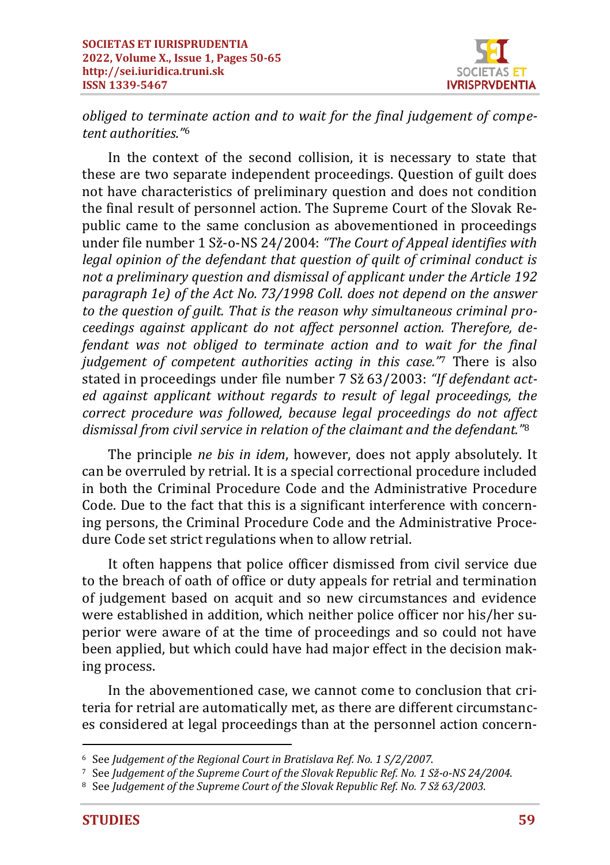

*obliged to terminate action and to wait for the final judgement of competent authorities."*<sup>6</sup>

In the context of the second collision, it is necessary to state that these are two separate independent proceedings. Question of guilt does not have characteristics of preliminary question and does not condition the final result of personnel action. The Supreme Court of the Slovak Republic came to the same conclusion as abovementioned in proceedings under file number 1 Sž-o-NS 24/2004: *"The Court of Appeal identifies with legal opinion of the defendant that question of quilt of criminal conduct is not a preliminary question and dismissal of applicant under the Article 192 paragraph 1e) of the Act No. 73/1998 Coll. does not depend on the answer to the question of guilt. That is the reason why simultaneous criminal proceedings against applicant do not affect personnel action. Therefore, defendant was not obliged to terminate action and to wait for the final judgement of competent authorities acting in this case."*<sup>7</sup> There is also stated in proceedings under file number 7 Sž 63/2003: *"If defendant acted against applicant without regards to result of legal proceedings, the correct procedure was followed, because legal proceedings do not affect dismissal from civil service in relation of the claimant and the defendant."*<sup>8</sup>

The principle *ne bis in idem*, however, does not apply absolutely. It can be overruled by retrial. It is a special correctional procedure included in both the Criminal Procedure Code and the Administrative Procedure Code. Due to the fact that this is a significant interference with concerning persons, the Criminal Procedure Code and the Administrative Procedure Code set strict regulations when to allow retrial.

It often happens that police officer dismissed from civil service due to the breach of oath of office or duty appeals for retrial and termination of judgement based on acquit and so new circumstances and evidence were established in addition, which neither police officer nor his/her superior were aware of at the time of proceedings and so could not have been applied, but which could have had major effect in the decision making process.

In the abovementioned case, we cannot come to conclusion that criteria for retrial are automatically met, as there are different circumstances considered at legal proceedings than at the personnel action concern-

<sup>6</sup> See *Judgement of the Regional Court in Bratislava Ref. No. 1 S/2/2007*.

<sup>7</sup> See *Judgement of the Supreme Court of the Slovak Republic Ref. No. 1 Sž-o-NS 24/2004*.

<sup>8</sup> See *Judgement of the Supreme Court of the Slovak Republic Ref. No. 7 Sž 63/2003*.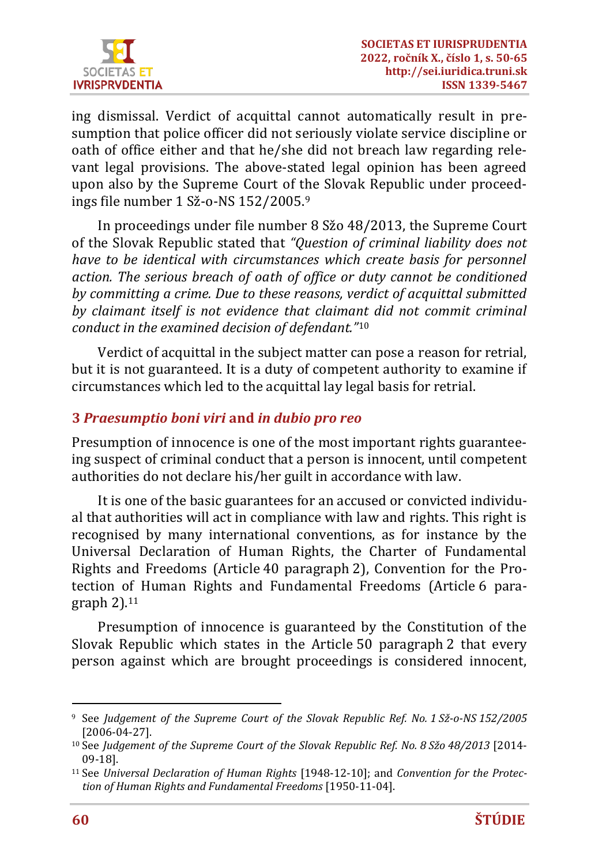

ing dismissal. Verdict of acquittal cannot automatically result in presumption that police officer did not seriously violate service discipline or oath of office either and that he/she did not breach law regarding relevant legal provisions. The above-stated legal opinion has been agreed upon also by the Supreme Court of the Slovak Republic under proceedings file number 1 Sž-o-NS 152/2005.<sup>9</sup>

In proceedings under file number 8 Sžo 48/2013, the Supreme Court of the Slovak Republic stated that *"Question of criminal liability does not have to be identical with circumstances which create basis for personnel action. The serious breach of oath of office or duty cannot be conditioned by committing a crime. Due to these reasons, verdict of acquittal submitted by claimant itself is not evidence that claimant did not commit criminal conduct in the examined decision of defendant."*<sup>10</sup>

Verdict of acquittal in the subject matter can pose a reason for retrial, but it is not guaranteed. It is a duty of competent authority to examine if circumstances which led to the acquittal lay legal basis for retrial.

# **3** *Praesumptio boni viri* **and** *in dubio pro reo*

Presumption of innocence is one of the most important rights guaranteeing suspect of criminal conduct that a person is innocent, until competent authorities do not declare his/her guilt in accordance with law.

It is one of the basic guarantees for an accused or convicted individual that authorities will act in compliance with law and rights. This right is recognised by many international conventions, as for instance by the Universal Declaration of Human Rights, the Charter of Fundamental Rights and Freedoms (Article 40 paragraph 2), Convention for the Protection of Human Rights and Fundamental Freedoms (Article 6 paragraph  $2$ ).<sup>11</sup>

Presumption of innocence is guaranteed by the Constitution of the Slovak Republic which states in the Article 50 paragraph 2 that every person against which are brought proceedings is considered innocent,

<sup>9</sup> See *Judgement of the Supreme Court of the Slovak Republic Ref. No. 1 Sž-o-NS 152/2005* [2006-04-27].

<sup>10</sup> See *Judgement of the Supreme Court of the Slovak Republic Ref. No. 8 Sžo 48/2013* [2014- 09-18].

<sup>11</sup> See *Universal Declaration of Human Rights* [1948-12-10]; and *Convention for the Protection of Human Rights and Fundamental Freedoms* [1950-11-04].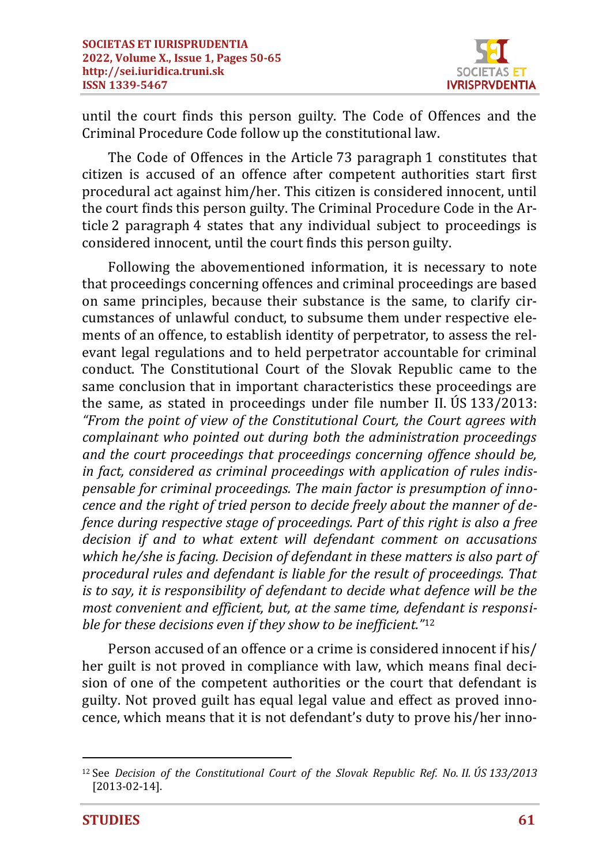

until the court finds this person guilty. The Code of Offences and the Criminal Procedure Code follow up the constitutional law.

The Code of Offences in the Article 73 paragraph 1 constitutes that citizen is accused of an offence after competent authorities start first procedural act against him/her. This citizen is considered innocent, until the court finds this person guilty. The Criminal Procedure Code in the Article 2 paragraph 4 states that any individual subject to proceedings is considered innocent, until the court finds this person guilty.

Following the abovementioned information, it is necessary to note that proceedings concerning offences and criminal proceedings are based on same principles, because their substance is the same, to clarify circumstances of unlawful conduct, to subsume them under respective elements of an offence, to establish identity of perpetrator, to assess the relevant legal regulations and to held perpetrator accountable for criminal conduct. The Constitutional Court of the Slovak Republic came to the same conclusion that in important characteristics these proceedings are the same, as stated in proceedings under file number II. ÚS 133/2013: *"From the point of view of the Constitutional Court, the Court agrees with complainant who pointed out during both the administration proceedings and the court proceedings that proceedings concerning offence should be, in fact, considered as criminal proceedings with application of rules indispensable for criminal proceedings. The main factor is presumption of innocence and the right of tried person to decide freely about the manner of defence during respective stage of proceedings. Part of this right is also a free decision if and to what extent will defendant comment on accusations which he/she is facing. Decision of defendant in these matters is also part of procedural rules and defendant is liable for the result of proceedings. That is to say, it is responsibility of defendant to decide what defence will be the most convenient and efficient, but, at the same time, defendant is responsible for these decisions even if they show to be inefficient."*<sup>12</sup>

Person accused of an offence or a crime is considered innocent if his/ her guilt is not proved in compliance with law, which means final decision of one of the competent authorities or the court that defendant is guilty. Not proved guilt has equal legal value and effect as proved innocence, which means that it is not defendant's duty to prove his/her inno-

<sup>12</sup> See *Decision of the Constitutional Court of the Slovak Republic Ref. No. II. ÚS 133/2013* [2013-02-14].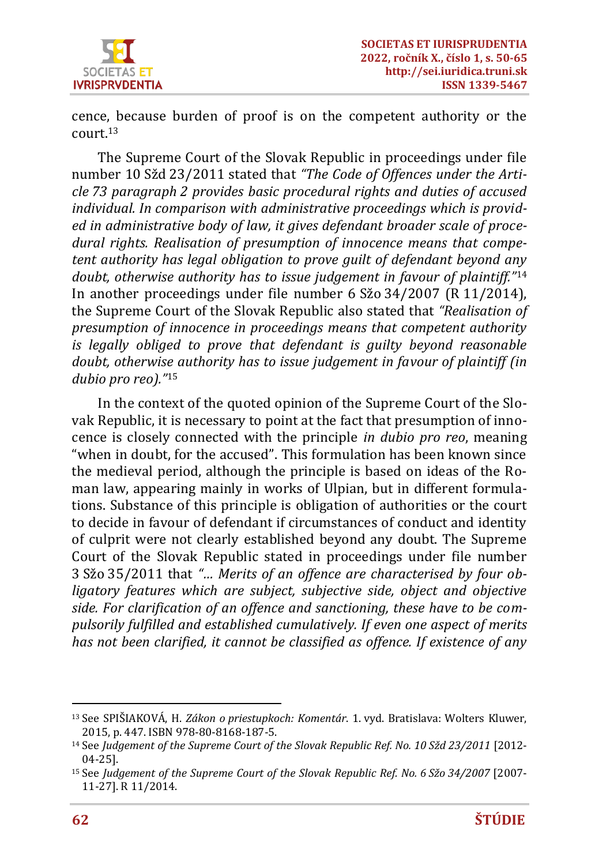

cence, because burden of proof is on the competent authority or the court.<sup>13</sup>

The Supreme Court of the Slovak Republic in proceedings under file number 10 Sžd 23/2011 stated that *"The Code of Offences under the Article 73 paragraph 2 provides basic procedural rights and duties of accused individual. In comparison with administrative proceedings which is provided in administrative body of law, it gives defendant broader scale of procedural rights. Realisation of presumption of innocence means that competent authority has legal obligation to prove guilt of defendant beyond any doubt, otherwise authority has to issue judgement in favour of plaintiff."*<sup>14</sup> In another proceedings under file number 6 Sžo 34/2007 (R 11/2014), the Supreme Court of the Slovak Republic also stated that *"Realisation of presumption of innocence in proceedings means that competent authority is legally obliged to prove that defendant is guilty beyond reasonable doubt, otherwise authority has to issue judgement in favour of plaintiff (in dubio pro reo)."*<sup>15</sup>

In the context of the quoted opinion of the Supreme Court of the Slovak Republic, it is necessary to point at the fact that presumption of innocence is closely connected with the principle *in dubio pro reo*, meaning "when in doubt, for the accused". This formulation has been known since the medieval period, although the principle is based on ideas of the Roman law, appearing mainly in works of Ulpian, but in different formulations. Substance of this principle is obligation of authorities or the court to decide in favour of defendant if circumstances of conduct and identity of culprit were not clearly established beyond any doubt. The Supreme Court of the Slovak Republic stated in proceedings under file number 3 Sžo 35/2011 that *"… Merits of an offence are characterised by four obligatory features which are subject, subjective side, object and objective side. For clarification of an offence and sanctioning, these have to be compulsorily fulfilled and established cumulatively. If even one aspect of merits has not been clarified, it cannot be classified as offence. If existence of any* 

<sup>13</sup> See SPIŠIAKOVÁ, H. *Zákon o priestupkoch: Komentár*. 1. vyd. Bratislava: Wolters Kluwer, 2015, p. 447. ISBN 978-80-8168-187-5.

<sup>14</sup> See *Judgement of the Supreme Court of the Slovak Republic Ref. No. 10 Sžd 23/2011* [2012- 04-25].

<sup>15</sup> See *Judgement of the Supreme Court of the Slovak Republic Ref. No. 6 Sžo 34/2007* [2007- 11-27]. R 11/2014.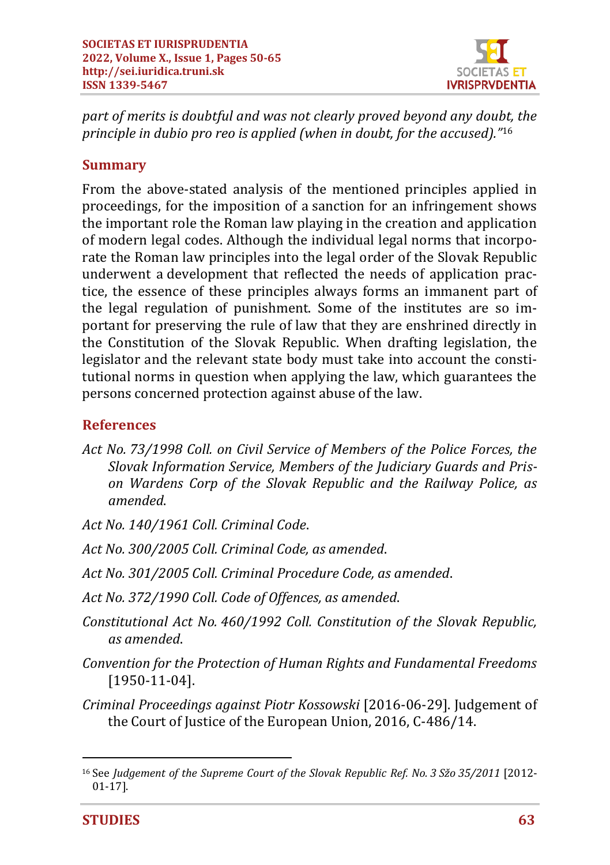

*part of merits is doubtful and was not clearly proved beyond any doubt, the principle in dubio pro reo is applied (when in doubt, for the accused)."* 16

### **Summary**

From the above-stated analysis of the mentioned principles applied in proceedings, for the imposition of a sanction for an infringement shows the important role the Roman law playing in the creation and application of modern legal codes. Although the individual legal norms that incorporate the Roman law principles into the legal order of the Slovak Republic underwent a development that reflected the needs of application practice, the essence of these principles always forms an immanent part of the legal regulation of punishment. Some of the institutes are so important for preserving the rule of law that they are enshrined directly in the Constitution of the Slovak Republic. When drafting legislation, the legislator and the relevant state body must take into account the constitutional norms in question when applying the law, which guarantees the persons concerned protection against abuse of the law.

# **References**

- *Act No. 73/1998 Coll. on Civil Service of Members of the Police Forces, the Slovak Information Service, Members of the Judiciary Guards and Prison Wardens Corp of the Slovak Republic and the Railway Police, as amended*.
- *Act No. 140/1961 Coll. Criminal Code*.
- *Act No. 300/2005 Coll. Criminal Code, as amended*.
- *Act No. 301/2005 Coll. Criminal Procedure Code, as amended*.
- *Act No. 372/1990 Coll. Code of Offences, as amended*.
- *Constitutional Act No. 460/1992 Coll. Constitution of the Slovak Republic, as amended*.
- *Convention for the Protection of Human Rights and Fundamental Freedoms* [1950-11-04].
- *Criminal Proceedings against Piotr Kossowski* [2016-06-29]. Judgement of the Court of Justice of the European Union, 2016, C-486/14.

<sup>16</sup> See *Judgement of the Supreme Court of the Slovak Republic Ref. No. 3 Sžo 35/2011* [2012- 01-17].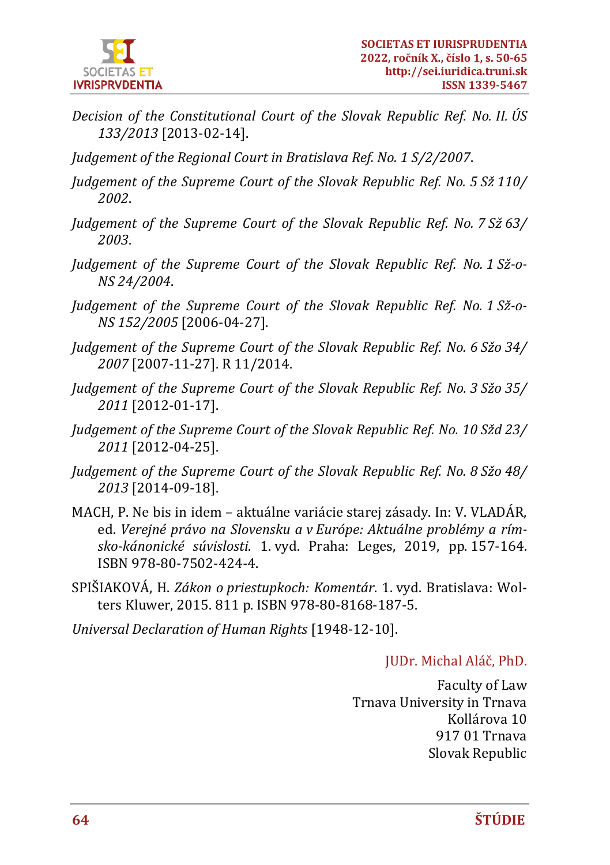

- *Decision of the Constitutional Court of the Slovak Republic Ref. No. II. ÚS 133/2013* [2013-02-14].
- *Judgement of the Regional Court in Bratislava Ref. No. 1 S/2/2007*.
- *Judgement of the Supreme Court of the Slovak Republic Ref. No. 5 Sž 110/ 2002*.
- *Judgement of the Supreme Court of the Slovak Republic Ref. No. 7 Sž 63/ 2003*.
- *Judgement of the Supreme Court of the Slovak Republic Ref. No. 1 Sž-o-NS 24/2004*.
- *Judgement of the Supreme Court of the Slovak Republic Ref. No. 1 Sž-o-NS 152/2005* [2006-04-27].
- *Judgement of the Supreme Court of the Slovak Republic Ref. No. 6 Sžo 34/ 2007* [2007-11-27]. R 11/2014.
- *Judgement of the Supreme Court of the Slovak Republic Ref. No. 3 Sžo 35/ 2011* [2012-01-17].
- *Judgement of the Supreme Court of the Slovak Republic Ref. No. 10 Sžd 23/ 2011* [2012-04-25].
- *Judgement of the Supreme Court of the Slovak Republic Ref. No. 8 Sžo 48/ 2013* [2014-09-18].
- MACH, P. Ne bis in idem aktuálne variácie starej zásady. In: V. VLADÁR, ed. *Verejné právo na Slovensku a v Európe: Aktuálne problémy a rímsko-kánonické súvislosti*. 1. vyd. Praha: Leges, 2019, pp. 157-164. ISBN 978-80-7502-424-4.
- SPIŠIAKOVÁ, H. *Zákon o priestupkoch: Komentár*. 1. vyd. Bratislava: Wolters Kluwer, 2015. 811 p. ISBN 978-80-8168-187-5.

*Universal Declaration of Human Rights* [1948-12-10].

JUDr. Michal Aláč, PhD.

Faculty of Law Trnava University in Trnava Kollárova 10 917 01 Trnava Slovak Republic